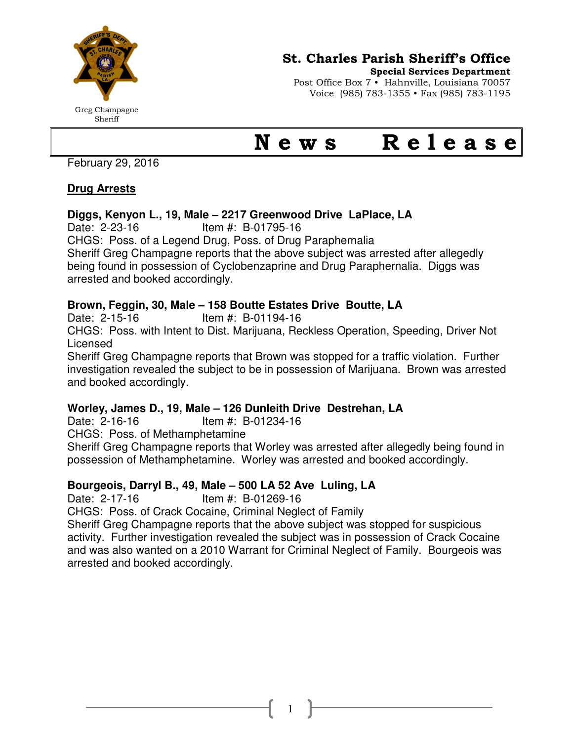

## St. Charles Parish Sheriff's Office

Special Services Department

Post Office Box 7 • Hahnville, Louisiana 70057 Voice (985) 783-1355 • Fax (985) 783-1195

Greg Champagne Sheriff

# News Release

February 29, 2016

#### **Drug Arrests**

#### **Diggs, Kenyon L., 19, Male – 2217 Greenwood Drive LaPlace, LA**

Date: 2-23-16 Item #: B-01795-16

CHGS: Poss. of a Legend Drug, Poss. of Drug Paraphernalia

Sheriff Greg Champagne reports that the above subject was arrested after allegedly being found in possession of Cyclobenzaprine and Drug Paraphernalia. Diggs was arrested and booked accordingly.

#### **Brown, Feggin, 30, Male – 158 Boutte Estates Drive Boutte, LA**

Date: 2-15-16 Item #: B-01194-16

CHGS: Poss. with Intent to Dist. Marijuana, Reckless Operation, Speeding, Driver Not Licensed

Sheriff Greg Champagne reports that Brown was stopped for a traffic violation. Further investigation revealed the subject to be in possession of Marijuana. Brown was arrested and booked accordingly.

#### **Worley, James D., 19, Male – 126 Dunleith Drive Destrehan, LA**

Date: 2-16-16 Item #: B-01234-16

CHGS: Poss. of Methamphetamine

Sheriff Greg Champagne reports that Worley was arrested after allegedly being found in possession of Methamphetamine. Worley was arrested and booked accordingly.

### **Bourgeois, Darryl B., 49, Male – 500 LA 52 Ave Luling, LA**

Date: 2-17-16 Item #: B-01269-16

CHGS: Poss. of Crack Cocaine, Criminal Neglect of Family

Sheriff Greg Champagne reports that the above subject was stopped for suspicious activity. Further investigation revealed the subject was in possession of Crack Cocaine and was also wanted on a 2010 Warrant for Criminal Neglect of Family. Bourgeois was arrested and booked accordingly.

1